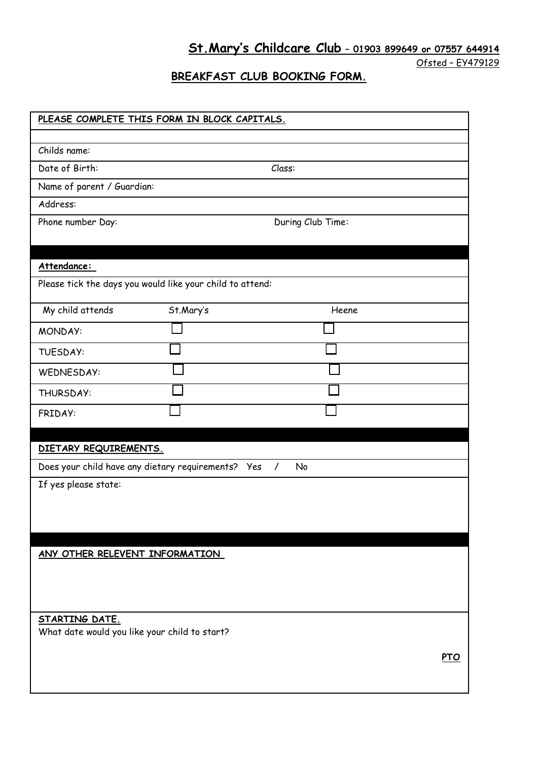**St.Mary's Childcare Club – 01903 899649 or 07557 644914**

Ofsted – EY479129

# **BREAKFAST CLUB BOOKING FORM.**

| PLEASE COMPLETE THIS FORM IN BLOCK CAPITALS.              |           |                   |            |
|-----------------------------------------------------------|-----------|-------------------|------------|
| Childs name:                                              |           |                   |            |
| Date of Birth:                                            |           | Class:            |            |
| Name of parent / Guardian:                                |           |                   |            |
| Address:                                                  |           |                   |            |
| Phone number Day:                                         |           | During Club Time: |            |
|                                                           |           |                   |            |
| Attendance:                                               |           |                   |            |
| Please tick the days you would like your child to attend: |           |                   |            |
| My child attends                                          | St.Mary's | Heene             |            |
| <b>MONDAY:</b>                                            |           |                   |            |
| TUESDAY:                                                  |           |                   |            |
| <b>WEDNESDAY:</b>                                         |           |                   |            |
| THURSDAY:                                                 |           |                   |            |
| FRIDAY:                                                   |           |                   |            |
|                                                           |           |                   |            |
| DIETARY REQUIREMENTS.                                     |           |                   |            |
| Does your child have any dietary requirements? Yes /      |           | <b>No</b>         |            |
| If yes please state:                                      |           |                   |            |
|                                                           |           |                   |            |
|                                                           |           |                   |            |
| ANY OTHER RELEVENT INFORMATION                            |           |                   |            |
|                                                           |           |                   |            |
|                                                           |           |                   |            |
|                                                           |           |                   |            |
| STARTING DATE.                                            |           |                   |            |
| What date would you like your child to start?             |           |                   |            |
|                                                           |           |                   | <b>PTO</b> |
|                                                           |           |                   |            |
|                                                           |           |                   |            |